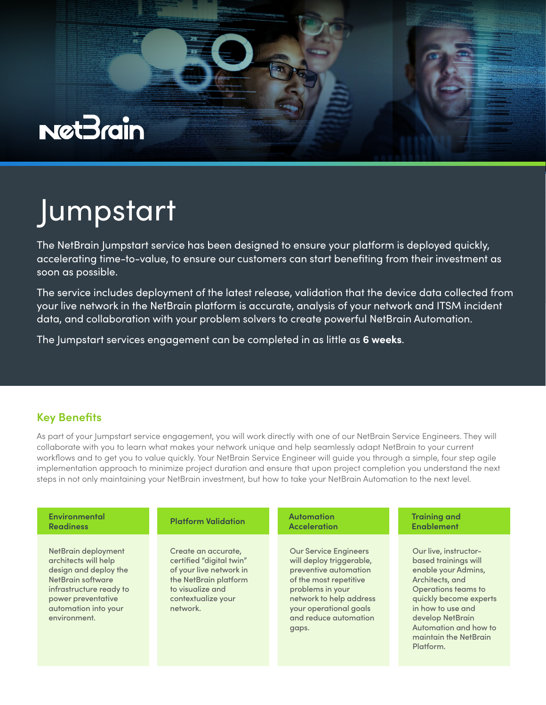

## Jumpstart

The NetBrain Jumpstart service has been designed to ensure your platform is deployed quickly, accelerating time-to-value, to ensure our customers can start benefiting from their investment as soon as possible.

The service includes deployment of the latest release, validation that the device data collected from your live network in the NetBrain platform is accurate, analysis of your network and ITSM incident data, and collaboration with your problem solvers to create powerful NetBrain Automation.

The Jumpstart services engagement can be completed in as little as **6 weeks**.

## **Key Benefits**

As part of your Jumpstart service engagement, you will work directly with one of our NetBrain Service Engineers. They will collaborate with you to learn what makes your network unique and help seamlessly adapt NetBrain to your current workflows and to get you to value quickly. Your NetBrain Service Engineer will guide you through a simple, four step agile implementation approach to minimize project duration and ensure that upon project completion you understand the next steps in not only maintaining your NetBrain investment, but how to take your NetBrain Automation to the next level.

| Environmental                                                                                                                                                                      | <b>Platform Validation</b>                                                                                                                                | <b>Automation</b>                                                                                                                                                                                                      | <b>Training and</b>                                                                                                                                                                                                                              |
|------------------------------------------------------------------------------------------------------------------------------------------------------------------------------------|-----------------------------------------------------------------------------------------------------------------------------------------------------------|------------------------------------------------------------------------------------------------------------------------------------------------------------------------------------------------------------------------|--------------------------------------------------------------------------------------------------------------------------------------------------------------------------------------------------------------------------------------------------|
| <b>Readiness</b>                                                                                                                                                                   |                                                                                                                                                           | <b>Acceleration</b>                                                                                                                                                                                                    | <b>Enablement</b>                                                                                                                                                                                                                                |
| NetBrain deployment<br>architects will help<br>design and deploy the<br>NetBrain software<br>infrastructure ready to<br>power preventative<br>automation into your<br>environment. | Create an accurate,<br>certified "digital twin"<br>of your live network in<br>the NetBrain platform<br>to visualize and<br>contextualize your<br>network. | <b>Our Service Engineers</b><br>will deploy triggerable,<br>preventive automation<br>of the most repetitive<br>problems in your<br>network to help address<br>your operational goals<br>and reduce automation<br>gaps. | Our live, instructor-<br>based trainings will<br>enable your Admins,<br>Architects, and<br>Operations teams to<br>quickly become experts<br>in how to use and<br>develop NetBrain<br>Automation and how to<br>maintain the NetBrain<br>Platform. |